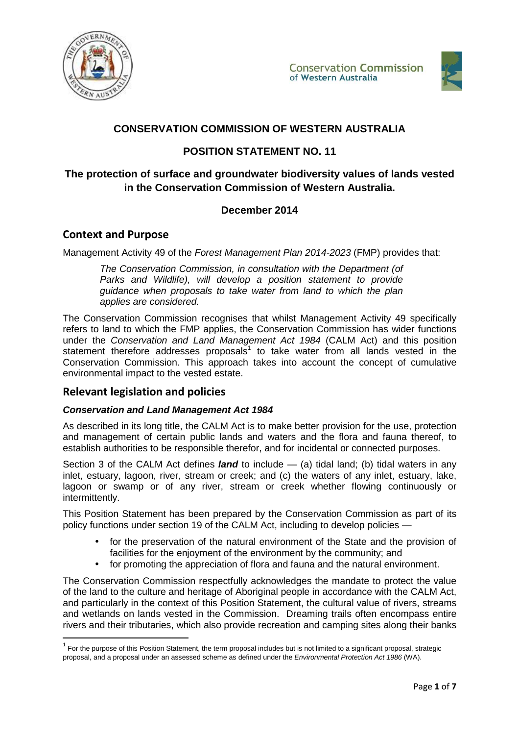



# **CONSERVATION COMMISSION OF WESTERN AUSTRALIA**

## **POSITION STATEMENT NO. 11**

# **The protection of surface and groundwater biodiversity values of lands vested in the Conservation Commission of Western Australia.**

## **December 2014**

## **Context and Purpose**

Management Activity 49 of the Forest Management Plan 2014-2023 (FMP) provides that:

The Conservation Commission, in consultation with the Department (of Parks and Wildlife), will develop a position statement to provide guidance when proposals to take water from land to which the plan applies are considered.

The Conservation Commission recognises that whilst Management Activity 49 specifically refers to land to which the FMP applies, the Conservation Commission has wider functions under the Conservation and Land Management Act 1984 (CALM Act) and this position statement therefore addresses proposals<sup>1</sup> to take water from all lands vested in the Conservation Commission. This approach takes into account the concept of cumulative environmental impact to the vested estate.

## **Relevant legislation and policies**

 $\overline{a}$ 

### **Conservation and Land Management Act 1984**

As described in its long title, the CALM Act is to make better provision for the use, protection and management of certain public lands and waters and the flora and fauna thereof, to establish authorities to be responsible therefor, and for incidental or connected purposes.

Section 3 of the CALM Act defines *land* to include — (a) tidal land; (b) tidal waters in any inlet, estuary, lagoon, river, stream or creek; and (c) the waters of any inlet, estuary, lake, lagoon or swamp or of any river, stream or creek whether flowing continuously or intermittently.

This Position Statement has been prepared by the Conservation Commission as part of its policy functions under section 19 of the CALM Act, including to develop policies —

- for the preservation of the natural environment of the State and the provision of facilities for the enjoyment of the environment by the community; and
- for promoting the appreciation of flora and fauna and the natural environment.

The Conservation Commission respectfully acknowledges the mandate to protect the value of the land to the culture and heritage of Aboriginal people in accordance with the CALM Act, and particularly in the context of this Position Statement, the cultural value of rivers, streams and wetlands on lands vested in the Commission. Dreaming trails often encompass entire rivers and their tributaries, which also provide recreation and camping sites along their banks

 $^1$  For the purpose of this Position Statement, the term proposal includes but is not limited to a significant proposal, strategic proposal, and a proposal under an assessed scheme as defined under the *Environmental Protection Act 1986* (WA).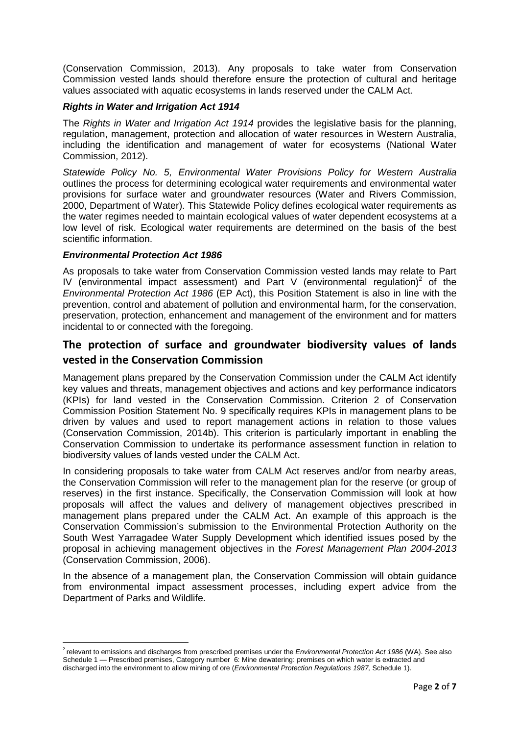(Conservation Commission, 2013). Any proposals to take water from Conservation Commission vested lands should therefore ensure the protection of cultural and heritage values associated with aquatic ecosystems in lands reserved under the CALM Act.

#### **Rights in Water and Irrigation Act 1914**

The Rights in Water and Irrigation Act 1914 provides the legislative basis for the planning, regulation, management, protection and allocation of water resources in Western Australia, including the identification and management of water for ecosystems (National Water Commission, 2012).

Statewide Policy No. 5, Environmental Water Provisions Policy for Western Australia outlines the process for determining ecological water requirements and environmental water provisions for surface water and groundwater resources (Water and Rivers Commission, 2000, Department of Water). This Statewide Policy defines ecological water requirements as the water regimes needed to maintain ecological values of water dependent ecosystems at a low level of risk. Ecological water requirements are determined on the basis of the best scientific information.

#### **Environmental Protection Act 1986**

 $\overline{a}$ 

As proposals to take water from Conservation Commission vested lands may relate to Part IV (environmental impact assessment) and Part V (environmental regulation)<sup>2</sup> of the Environmental Protection Act 1986 (EP Act), this Position Statement is also in line with the prevention, control and abatement of pollution and environmental harm, for the conservation, preservation, protection, enhancement and management of the environment and for matters incidental to or connected with the foregoing.

# **The protection of surface and groundwater biodiversity values of lands vested in the Conservation Commission**

Management plans prepared by the Conservation Commission under the CALM Act identify key values and threats, management objectives and actions and key performance indicators (KPIs) for land vested in the Conservation Commission. Criterion 2 of Conservation Commission Position Statement No. 9 specifically requires KPIs in management plans to be driven by values and used to report management actions in relation to those values (Conservation Commission, 2014b). This criterion is particularly important in enabling the Conservation Commission to undertake its performance assessment function in relation to biodiversity values of lands vested under the CALM Act.

In considering proposals to take water from CALM Act reserves and/or from nearby areas, the Conservation Commission will refer to the management plan for the reserve (or group of reserves) in the first instance. Specifically, the Conservation Commission will look at how proposals will affect the values and delivery of management objectives prescribed in management plans prepared under the CALM Act. An example of this approach is the Conservation Commission's submission to the Environmental Protection Authority on the South West Yarragadee Water Supply Development which identified issues posed by the proposal in achieving management objectives in the Forest Management Plan 2004-2013 (Conservation Commission, 2006).

In the absence of a management plan, the Conservation Commission will obtain guidance from environmental impact assessment processes, including expert advice from the Department of Parks and Wildlife.

<sup>&</sup>lt;sup>2</sup> relevant to emissions and discharges from prescribed premises under the Environmental Protection Act 1986 (WA). See also Schedule 1 — Prescribed premises, Category number 6: Mine dewatering: premises on which water is extracted and discharged into the environment to allow mining of ore (*Environmental Protection Regulations 1987*, Schedule 1).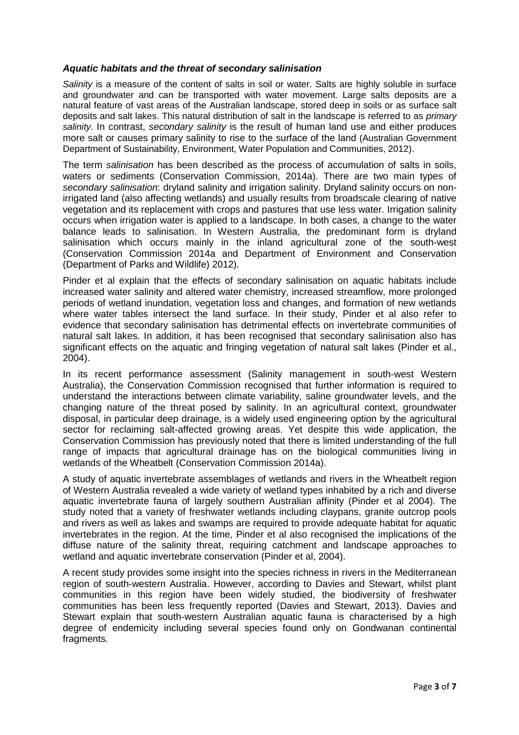#### **Aquatic habitats and the threat of secondary salinisation**

Salinity is a measure of the content of salts in soil or water. Salts are highly soluble in surface and groundwater and can be transported with water movement. Large salts deposits are a natural feature of vast areas of the Australian landscape, stored deep in soils or as surface salt deposits and salt lakes. This natural distribution of salt in the landscape is referred to as *primary* salinity. In contrast, secondary salinity is the result of human land use and either produces more salt or causes primary salinity to rise to the surface of the land (Australian Government Department of Sustainability, Environment, Water Population and Communities, 2012).

The term salinisation has been described as the process of accumulation of salts in soils, waters or sediments (Conservation Commission, 2014a). There are two main types of secondary salinisation: dryland salinity and irrigation salinity. Dryland salinity occurs on nonirrigated land (also affecting wetlands) and usually results from broadscale clearing of native vegetation and its replacement with crops and pastures that use less water. Irrigation salinity occurs when irrigation water is applied to a landscape. In both cases, a change to the water balance leads to salinisation. In Western Australia, the predominant form is dryland salinisation which occurs mainly in the inland agricultural zone of the south-west (Conservation Commission 2014a and Department of Environment and Conservation (Department of Parks and Wildlife) 2012).

Pinder et al explain that the effects of secondary salinisation on aquatic habitats include increased water salinity and altered water chemistry, increased streamflow, more prolonged periods of wetland inundation, vegetation loss and changes, and formation of new wetlands where water tables intersect the land surface. In their study, Pinder et al also refer to evidence that secondary salinisation has detrimental effects on invertebrate communities of natural salt lakes. In addition, it has been recognised that secondary salinisation also has significant effects on the aquatic and fringing vegetation of natural salt lakes (Pinder et al., 2004).

In its recent performance assessment (Salinity management in south-west Western Australia), the Conservation Commission recognised that further information is required to understand the interactions between climate variability, saline groundwater levels, and the changing nature of the threat posed by salinity. In an agricultural context, groundwater disposal, in particular deep drainage, is a widely used engineering option by the agricultural sector for reclaiming salt-affected growing areas. Yet despite this wide application, the Conservation Commission has previously noted that there is limited understanding of the full range of impacts that agricultural drainage has on the biological communities living in wetlands of the Wheatbelt (Conservation Commission 2014a).

A study of aquatic invertebrate assemblages of wetlands and rivers in the Wheatbelt region of Western Australia revealed a wide variety of wetland types inhabited by a rich and diverse aquatic invertebrate fauna of largely southern Australian affinity (Pinder et al 2004). The study noted that a variety of freshwater wetlands including claypans, granite outcrop pools and rivers as well as lakes and swamps are required to provide adequate habitat for aquatic invertebrates in the region. At the time, Pinder et al also recognised the implications of the diffuse nature of the salinity threat, requiring catchment and landscape approaches to wetland and aquatic invertebrate conservation (Pinder et al, 2004).

A recent study provides some insight into the species richness in rivers in the Mediterranean region of south-western Australia. However, according to Davies and Stewart, whilst plant communities in this region have been widely studied, the biodiversity of freshwater communities has been less frequently reported (Davies and Stewart, 2013). Davies and Stewart explain that south-western Australian aquatic fauna is characterised by a high degree of endemicity including several species found only on Gondwanan continental fragments.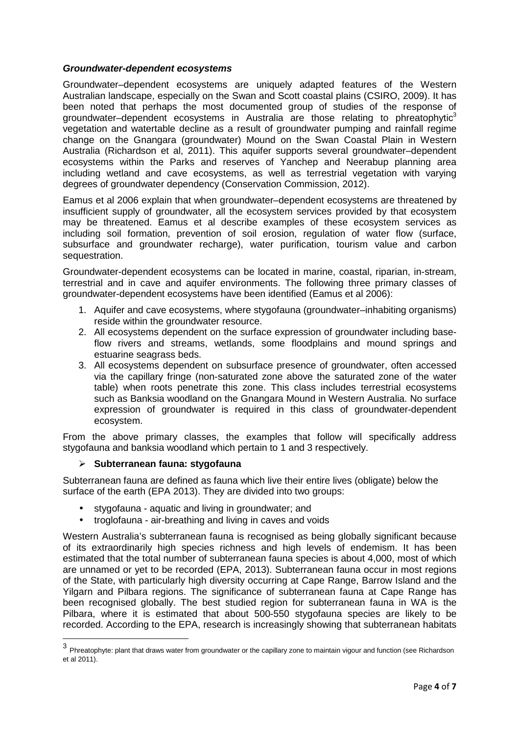#### **Groundwater-dependent ecosystems**

Groundwater–dependent ecosystems are uniquely adapted features of the Western Australian landscape, especially on the Swan and Scott coastal plains (CSIRO, 2009). It has been noted that perhaps the most documented group of studies of the response of groundwater–dependent ecosystems in Australia are those relating to phreatophytic $3$ vegetation and watertable decline as a result of groundwater pumping and rainfall regime change on the Gnangara (groundwater) Mound on the Swan Coastal Plain in Western Australia (Richardson et al, 2011). This aquifer supports several groundwater–dependent ecosystems within the Parks and reserves of Yanchep and Neerabup planning area including wetland and cave ecosystems, as well as terrestrial vegetation with varying degrees of groundwater dependency (Conservation Commission, 2012).

Eamus et al 2006 explain that when groundwater–dependent ecosystems are threatened by insufficient supply of groundwater, all the ecosystem services provided by that ecosystem may be threatened. Eamus et al describe examples of these ecosystem services as including soil formation, prevention of soil erosion, regulation of water flow (surface, subsurface and groundwater recharge), water purification, tourism value and carbon sequestration.

Groundwater-dependent ecosystems can be located in marine, coastal, riparian, in-stream, terrestrial and in cave and aquifer environments. The following three primary classes of groundwater-dependent ecosystems have been identified (Eamus et al 2006):

- 1. Aquifer and cave ecosystems, where stygofauna (groundwater–inhabiting organisms) reside within the groundwater resource.
- 2. All ecosystems dependent on the surface expression of groundwater including baseflow rivers and streams, wetlands, some floodplains and mound springs and estuarine seagrass beds.
- 3. All ecosystems dependent on subsurface presence of groundwater, often accessed via the capillary fringe (non-saturated zone above the saturated zone of the water table) when roots penetrate this zone. This class includes terrestrial ecosystems such as Banksia woodland on the Gnangara Mound in Western Australia. No surface expression of groundwater is required in this class of groundwater-dependent ecosystem.

From the above primary classes, the examples that follow will specifically address stygofauna and banksia woodland which pertain to 1 and 3 respectively.

### **Subterranean fauna: stygofauna**

Subterranean fauna are defined as fauna which live their entire lives (obligate) below the surface of the earth (EPA 2013). They are divided into two groups:

- stygofauna aquatic and living in groundwater; and
- troglofauna air-breathing and living in caves and voids

Western Australia's subterranean fauna is recognised as being globally significant because of its extraordinarily high species richness and high levels of endemism. It has been estimated that the total number of subterranean fauna species is about 4,000, most of which are unnamed or yet to be recorded (EPA, 2013). Subterranean fauna occur in most regions of the State, with particularly high diversity occurring at Cape Range, Barrow Island and the Yilgarn and Pilbara regions. The significance of subterranean fauna at Cape Range has been recognised globally. The best studied region for subterranean fauna in WA is the Pilbara, where it is estimated that about 500-550 stygofauna species are likely to be recorded. According to the EPA, research is increasingly showing that subterranean habitats

 3 Phreatophyte: plant that draws water from groundwater or the capillary zone to maintain vigour and function (see Richardson et al 2011).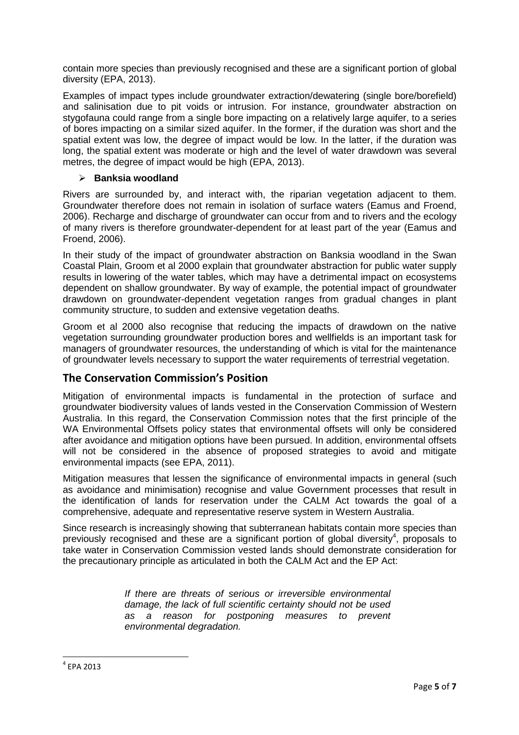contain more species than previously recognised and these are a significant portion of global diversity (EPA, 2013).

Examples of impact types include groundwater extraction/dewatering (single bore/borefield) and salinisation due to pit voids or intrusion. For instance, groundwater abstraction on stygofauna could range from a single bore impacting on a relatively large aquifer, to a series of bores impacting on a similar sized aquifer. In the former, if the duration was short and the spatial extent was low, the degree of impact would be low. In the latter, if the duration was long, the spatial extent was moderate or high and the level of water drawdown was several metres, the degree of impact would be high (EPA, 2013).

### **Banksia woodland**

Rivers are surrounded by, and interact with, the riparian vegetation adjacent to them. Groundwater therefore does not remain in isolation of surface waters (Eamus and Froend, 2006). Recharge and discharge of groundwater can occur from and to rivers and the ecology of many rivers is therefore groundwater-dependent for at least part of the year (Eamus and Froend, 2006).

In their study of the impact of groundwater abstraction on Banksia woodland in the Swan Coastal Plain, Groom et al 2000 explain that groundwater abstraction for public water supply results in lowering of the water tables, which may have a detrimental impact on ecosystems dependent on shallow groundwater. By way of example, the potential impact of groundwater drawdown on groundwater-dependent vegetation ranges from gradual changes in plant community structure, to sudden and extensive vegetation deaths.

Groom et al 2000 also recognise that reducing the impacts of drawdown on the native vegetation surrounding groundwater production bores and wellfields is an important task for managers of groundwater resources, the understanding of which is vital for the maintenance of groundwater levels necessary to support the water requirements of terrestrial vegetation.

## **The Conservation Commission's Position**

Mitigation of environmental impacts is fundamental in the protection of surface and groundwater biodiversity values of lands vested in the Conservation Commission of Western Australia. In this regard, the Conservation Commission notes that the first principle of the WA Environmental Offsets policy states that environmental offsets will only be considered after avoidance and mitigation options have been pursued. In addition, environmental offsets will not be considered in the absence of proposed strategies to avoid and mitigate environmental impacts (see EPA, 2011).

Mitigation measures that lessen the significance of environmental impacts in general (such as avoidance and minimisation) recognise and value Government processes that result in the identification of lands for reservation under the CALM Act towards the goal of a comprehensive, adequate and representative reserve system in Western Australia.

Since research is increasingly showing that subterranean habitats contain more species than previously recognised and these are a significant portion of global diversity<sup>4</sup>, proposals to take water in Conservation Commission vested lands should demonstrate consideration for the precautionary principle as articulated in both the CALM Act and the EP Act:

> If there are threats of serious or irreversible environmental damage, the lack of full scientific certainty should not be used as a reason for postponing measures to prevent environmental degradation.

4 EPA 2013

l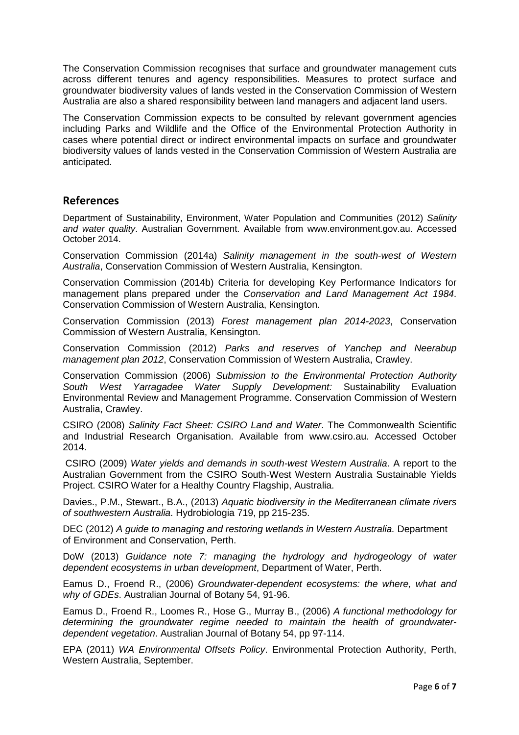The Conservation Commission recognises that surface and groundwater management cuts across different tenures and agency responsibilities. Measures to protect surface and groundwater biodiversity values of lands vested in the Conservation Commission of Western Australia are also a shared responsibility between land managers and adjacent land users.

The Conservation Commission expects to be consulted by relevant government agencies including Parks and Wildlife and the Office of the Environmental Protection Authority in cases where potential direct or indirect environmental impacts on surface and groundwater biodiversity values of lands vested in the Conservation Commission of Western Australia are anticipated.

### **References**

Department of Sustainability, Environment, Water Population and Communities (2012) Salinity and water quality. Australian Government. Available from www.environment.gov.au. Accessed October 2014.

Conservation Commission (2014a) Salinity management in the south-west of Western Australia, Conservation Commission of Western Australia, Kensington.

Conservation Commission (2014b) Criteria for developing Key Performance Indicators for management plans prepared under the Conservation and Land Management Act 1984. Conservation Commission of Western Australia, Kensington.

Conservation Commission (2013) Forest management plan 2014-2023, Conservation Commission of Western Australia, Kensington.

Conservation Commission (2012) Parks and reserves of Yanchep and Neerabup management plan 2012, Conservation Commission of Western Australia, Crawley.

Conservation Commission (2006) Submission to the Environmental Protection Authority South West Yarragadee Water Supply Development: Sustainability Evaluation Environmental Review and Management Programme. Conservation Commission of Western Australia, Crawley.

CSIRO (2008) Salinity Fact Sheet: CSIRO Land and Water. The Commonwealth Scientific and Industrial Research Organisation. Available from www.csiro.au. Accessed October 2014.

 CSIRO (2009) Water yields and demands in south-west Western Australia. A report to the Australian Government from the CSIRO South-West Western Australia Sustainable Yields Project. CSIRO Water for a Healthy Country Flagship, Australia.

Davies., P.M., Stewart., B.A., (2013) Aquatic biodiversity in the Mediterranean climate rivers of southwestern Australia. Hydrobiologia 719, pp 215-235.

DEC (2012) A guide to managing and restoring wetlands in Western Australia. Department of Environment and Conservation, Perth.

DoW (2013) Guidance note 7: managing the hydrology and hydrogeology of water dependent ecosystems in urban development, Department of Water, Perth.

Eamus D., Froend R., (2006) Groundwater-dependent ecosystems: the where, what and why of GDEs. Australian Journal of Botany 54, 91-96.

Eamus D., Froend R., Loomes R., Hose G., Murray B., (2006) A functional methodology for determining the groundwater regime needed to maintain the health of groundwaterdependent vegetation. Australian Journal of Botany 54, pp 97-114.

EPA (2011) WA Environmental Offsets Policy. Environmental Protection Authority, Perth, Western Australia, September.